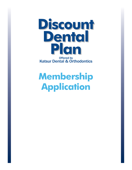

## **Membership Application**